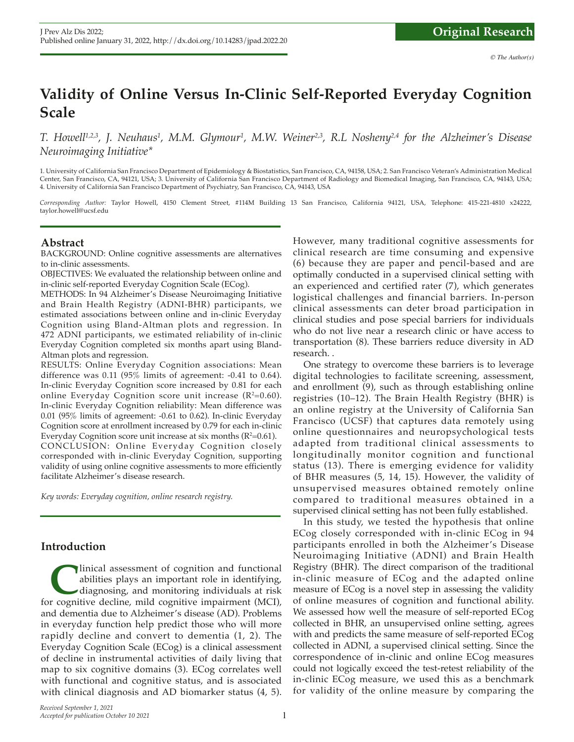# **Validity of Online Versus In-Clinic Self-Reported Everyday Cognition Scale**

*T. Howell1,2,3, J. Neuhaus1 , M.M. Glymour1 , M.W. Weiner2,3, R.L Nosheny2,4 for the Alzheimer's Disease Neuroimaging Initiative\**

1. University of California San Francisco Department of Epidemiology & Biostatistics, San Francisco, CA, 94158, USA; 2. San Francisco Veteran's Administration Medical Center, San Francisco, CA, 94121, USA; 3. University of California San Francisco Department of Radiology and Biomedical Imaging, San Francisco, CA, 94143, USA; 4. University of California San Francisco Department of Psychiatry, San Francisco, CA, 94143, USA

*Corresponding Author:* Taylor Howell, 4150 Clement Street, #114M Building 13 San Francisco, California 94121, USA, Telephone: 415-221-4810 x24222, taylor.howell@ucsf.edu

### **Abstract**

BACKGROUND: Online cognitive assessments are alternatives to in-clinic assessments.

OBJECTIVES: We evaluated the relationship between online and in-clinic self-reported Everyday Cognition Scale (ECog).

METHODS: In 94 Alzheimer's Disease Neuroimaging Initiative and Brain Health Registry (ADNI-BHR) participants, we estimated associations between online and in-clinic Everyday Cognition using Bland-Altman plots and regression. In 472 ADNI participants, we estimated reliability of in-clinic Everyday Cognition completed six months apart using Bland-Altman plots and regression.

RESULTS: Online Everyday Cognition associations: Mean difference was 0.11 (95% limits of agreement: -0.41 to 0.64). In-clinic Everyday Cognition score increased by 0.81 for each online Everyday Cognition score unit increase  $(R^2=0.60)$ . In-clinic Everyday Cognition reliability: Mean difference was 0.01 (95% limits of agreement: -0.61 to 0.62). In-clinic Everyday Cognition score at enrollment increased by 0.79 for each in-clinic Everyday Cognition score unit increase at six months (R²=0.61). CONCLUSION: Online Everyday Cognition closely corresponded with in-clinic Everyday Cognition, supporting validity of using online cognitive assessments to more efficiently facilitate Alzheimer's disease research.

*Key words: Everyday cognition, online research registry.*

#### **Introduction**

Inical assessment of cognition and functional abilities plays an important role in identifying, diagnosing, and monitoring individuals at risk for cognitive decline, mild cognitive impairment (MCI), abilities plays an important role in identifying, diagnosing, and monitoring individuals at risk and dementia due to Alzheimer's disease (AD). Problems in everyday function help predict those who will more rapidly decline and convert to dementia (1, 2). The Everyday Cognition Scale (ECog) is a clinical assessment of decline in instrumental activities of daily living that map to six cognitive domains (3). ECog correlates well with functional and cognitive status, and is associated with clinical diagnosis and AD biomarker status (4, 5).

However, many traditional cognitive assessments for clinical research are time consuming and expensive (6) because they are paper and pencil-based and are optimally conducted in a supervised clinical setting with an experienced and certified rater (7), which generates logistical challenges and financial barriers. In-person clinical assessments can deter broad participation in clinical studies and pose special barriers for individuals who do not live near a research clinic or have access to transportation (8). These barriers reduce diversity in AD research. .

One strategy to overcome these barriers is to leverage digital technologies to facilitate screening, assessment, and enrollment (9), such as through establishing online registries (10–12). The Brain Health Registry (BHR) is an online registry at the University of California San Francisco (UCSF) that captures data remotely using online questionnaires and neuropsychological tests adapted from traditional clinical assessments to longitudinally monitor cognition and functional status (13). There is emerging evidence for validity of BHR measures (5, 14, 15). However, the validity of unsupervised measures obtained remotely online compared to traditional measures obtained in a supervised clinical setting has not been fully established.

In this study, we tested the hypothesis that online ECog closely corresponded with in-clinic ECog in 94 participants enrolled in both the Alzheimer's Disease Neuroimaging Initiative (ADNI) and Brain Health Registry (BHR). The direct comparison of the traditional in-clinic measure of ECog and the adapted online measure of ECog is a novel step in assessing the validity of online measures of cognition and functional ability. We assessed how well the measure of self-reported ECog collected in BHR, an unsupervised online setting, agrees with and predicts the same measure of self-reported ECog collected in ADNI, a supervised clinical setting. Since the correspondence of in-clinic and online ECog measures could not logically exceed the test-retest reliability of the in-clinic ECog measure, we used this as a benchmark for validity of the online measure by comparing the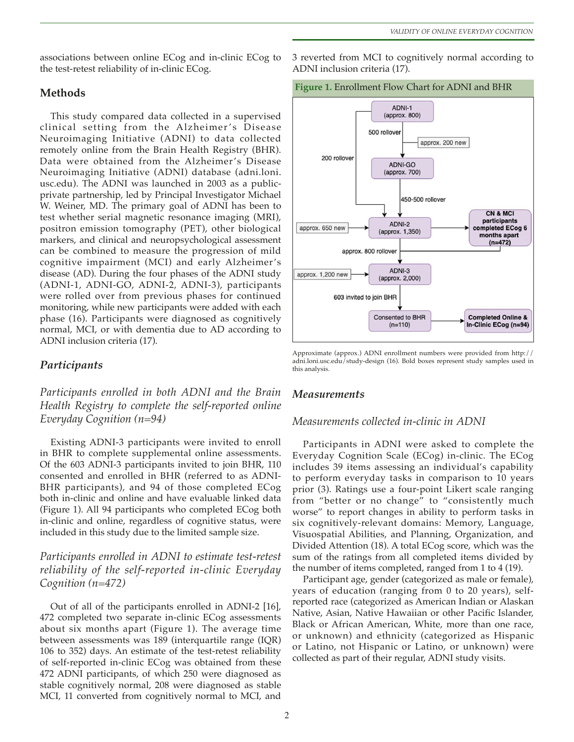associations between online ECog and in-clinic ECog to the test-retest reliability of in-clinic ECog.

#### **Methods**

This study compared data collected in a supervised clinical setting from the Alzheimer 's Disease Neuroimaging Initiative (ADNI) to data collected remotely online from the Brain Health Registry (BHR). Data were obtained from the Alzheimer's Disease Neuroimaging Initiative (ADNI) database (adni.loni. usc.edu). The ADNI was launched in 2003 as a publicprivate partnership, led by Principal Investigator Michael W. Weiner, MD. The primary goal of ADNI has been to test whether serial magnetic resonance imaging (MRI), positron emission tomography (PET), other biological markers, and clinical and neuropsychological assessment can be combined to measure the progression of mild cognitive impairment (MCI) and early Alzheimer's disease (AD). During the four phases of the ADNI study (ADNI-1, ADNI-GO, ADNI-2, ADNI-3), participants were rolled over from previous phases for continued monitoring, while new participants were added with each phase (16). Participants were diagnosed as cognitively normal, MCI, or with dementia due to AD according to ADNI inclusion criteria (17).

#### *Participants*

*Participants enrolled in both ADNI and the Brain Health Registry to complete the self-reported online Everyday Cognition (n=94)*

Existing ADNI-3 participants were invited to enroll in BHR to complete supplemental online assessments. Of the 603 ADNI-3 participants invited to join BHR, 110 consented and enrolled in BHR (referred to as ADNI-BHR participants), and 94 of those completed ECog both in-clinic and online and have evaluable linked data (Figure 1). All 94 participants who completed ECog both in-clinic and online, regardless of cognitive status, were included in this study due to the limited sample size.

## *Participants enrolled in ADNI to estimate test-retest reliability of the self-reported in-clinic Everyday Cognition (n=472)*

Out of all of the participants enrolled in ADNI-2 [16], 472 completed two separate in-clinic ECog assessments about six months apart (Figure 1). The average time between assessments was 189 (interquartile range (IQR) 106 to 352) days. An estimate of the test-retest reliability of self-reported in-clinic ECog was obtained from these 472 ADNI participants, of which 250 were diagnosed as stable cognitively normal, 208 were diagnosed as stable MCI, 11 converted from cognitively normal to MCI, and

3 reverted from MCI to cognitively normal according to ADNI inclusion criteria (17).





Approximate (approx.) ADNI enrollment numbers were provided from http:// adni.loni.usc.edu/study-design (16). Bold boxes represent study samples used in this analysis.

#### *Measurements*

#### *Measurements collected in-clinic in ADNI*

Participants in ADNI were asked to complete the Everyday Cognition Scale (ECog) in-clinic. The ECog includes 39 items assessing an individual's capability to perform everyday tasks in comparison to 10 years prior (3). Ratings use a four-point Likert scale ranging from "better or no change" to "consistently much worse" to report changes in ability to perform tasks in six cognitively-relevant domains: Memory, Language, Visuospatial Abilities, and Planning, Organization, and Divided Attention (18). A total ECog score, which was the sum of the ratings from all completed items divided by the number of items completed, ranged from 1 to 4 (19).

Participant age, gender (categorized as male or female), years of education (ranging from 0 to 20 years), selfreported race (categorized as American Indian or Alaskan Native, Asian, Native Hawaiian or other Pacific Islander, Black or African American, White, more than one race, or unknown) and ethnicity (categorized as Hispanic or Latino, not Hispanic or Latino, or unknown) were collected as part of their regular, ADNI study visits.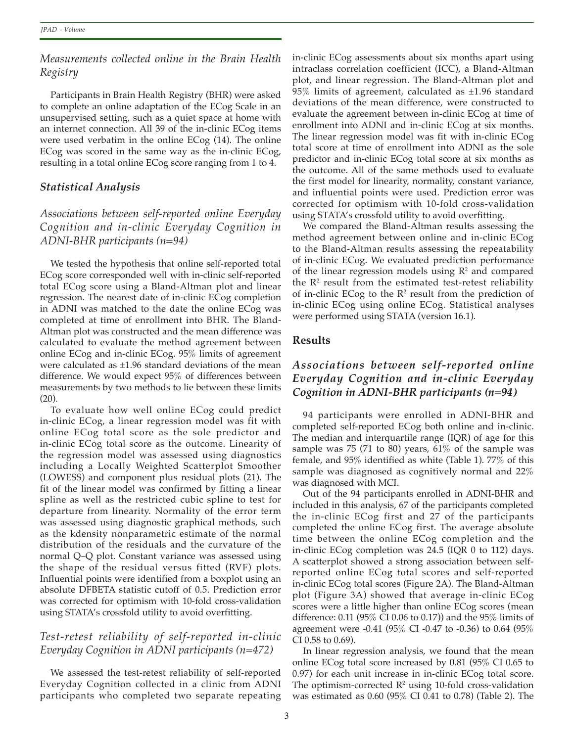## *Measurements collected online in the Brain Health Registry*

Participants in Brain Health Registry (BHR) were asked to complete an online adaptation of the ECog Scale in an unsupervised setting, such as a quiet space at home with an internet connection. All 39 of the in-clinic ECog items were used verbatim in the online ECog (14). The online ECog was scored in the same way as the in-clinic ECog, resulting in a total online ECog score ranging from 1 to 4.

## *Statistical Analysis*

*Associations between self-reported online Everyday Cognition and in-clinic Everyday Cognition in ADNI-BHR participants (n=94)*

We tested the hypothesis that online self-reported total ECog score corresponded well with in-clinic self-reported total ECog score using a Bland-Altman plot and linear regression. The nearest date of in-clinic ECog completion in ADNI was matched to the date the online ECog was completed at time of enrollment into BHR. The Bland-Altman plot was constructed and the mean difference was calculated to evaluate the method agreement between online ECog and in-clinic ECog. 95% limits of agreement were calculated as  $\pm 1.96$  standard deviations of the mean difference. We would expect 95% of differences between measurements by two methods to lie between these limits (20).

To evaluate how well online ECog could predict in-clinic ECog, a linear regression model was fit with online ECog total score as the sole predictor and in-clinic ECog total score as the outcome. Linearity of the regression model was assessed using diagnostics including a Locally Weighted Scatterplot Smoother (LOWESS) and component plus residual plots (21). The fit of the linear model was confirmed by fitting a linear spline as well as the restricted cubic spline to test for departure from linearity. Normality of the error term was assessed using diagnostic graphical methods, such as the kdensity nonparametric estimate of the normal distribution of the residuals and the curvature of the normal Q–Q plot. Constant variance was assessed using the shape of the residual versus fitted (RVF) plots. Influential points were identified from a boxplot using an absolute DFBETA statistic cutoff of 0.5. Prediction error was corrected for optimism with 10-fold cross-validation using STATA's crossfold utility to avoid overfitting.

# *Test-retest reliability of self-reported in-clinic Everyday Cognition in ADNI participants (n=472)*

We assessed the test-retest reliability of self-reported Everyday Cognition collected in a clinic from ADNI participants who completed two separate repeating in-clinic ECog assessments about six months apart using intraclass correlation coefficient (ICC), a Bland-Altman plot, and linear regression. The Bland-Altman plot and 95% limits of agreement, calculated as  $\pm 1.96$  standard deviations of the mean difference, were constructed to evaluate the agreement between in-clinic ECog at time of enrollment into ADNI and in-clinic ECog at six months. The linear regression model was fit with in-clinic ECog total score at time of enrollment into ADNI as the sole predictor and in-clinic ECog total score at six months as the outcome. All of the same methods used to evaluate the first model for linearity, normality, constant variance, and influential points were used. Prediction error was corrected for optimism with 10-fold cross-validation using STATA's crossfold utility to avoid overfitting.

We compared the Bland-Altman results assessing the method agreement between online and in-clinic ECog to the Bland-Altman results assessing the repeatability of in-clinic ECog. We evaluated prediction performance of the linear regression models using  $\mathbb{R}^2$  and compared the  $\mathbb{R}^2$  result from the estimated test-retest reliability of in-clinic ECog to the  $\mathbb{R}^2$  result from the prediction of in-clinic ECog using online ECog. Statistical analyses were performed using STATA (version 16.1).

### **Results**

# *Associations between self-reported online Everyday Cognition and in-clinic Everyday Cognition in ADNI-BHR participants (n=94)*

94 participants were enrolled in ADNI-BHR and completed self-reported ECog both online and in-clinic. The median and interquartile range (IQR) of age for this sample was 75 (71 to 80) years,  $61\%$  of the sample was female, and 95% identified as white (Table 1). 77% of this sample was diagnosed as cognitively normal and 22% was diagnosed with MCI.

Out of the 94 participants enrolled in ADNI-BHR and included in this analysis, 67 of the participants completed the in-clinic ECog first and 27 of the participants completed the online ECog first. The average absolute time between the online ECog completion and the in-clinic ECog completion was 24.5 (IQR 0 to 112) days. A scatterplot showed a strong association between selfreported online ECog total scores and self-reported in-clinic ECog total scores (Figure 2A). The Bland-Altman plot (Figure 3A) showed that average in-clinic ECog scores were a little higher than online ECog scores (mean difference: 0.11 (95% CI 0.06 to 0.17)) and the 95% limits of agreement were -0.41 (95% CI -0.47 to -0.36) to 0.64 (95% CI 0.58 to 0.69).

In linear regression analysis, we found that the mean online ECog total score increased by 0.81 (95% CI 0.65 to 0.97) for each unit increase in in-clinic ECog total score. The optimism-corrected  $\mathbb{R}^2$  using 10-fold cross-validation was estimated as 0.60 (95% CI 0.41 to 0.78) (Table 2). The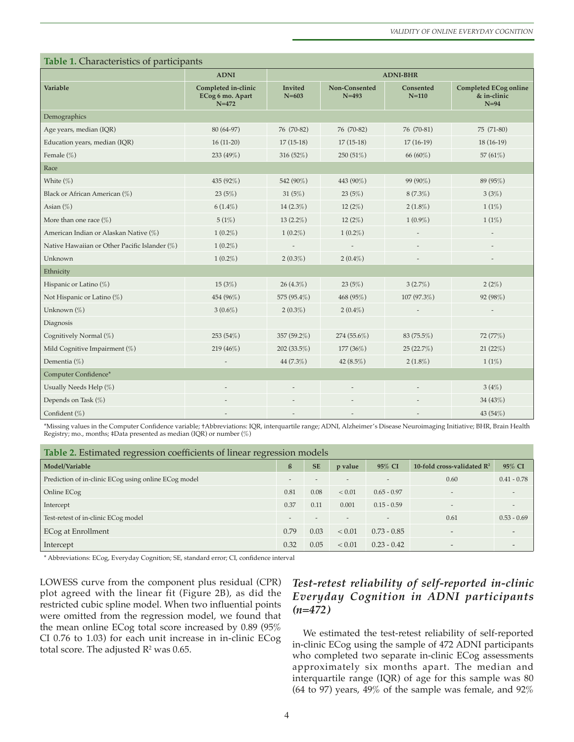| Table 1. Characteristics of participants      |                                                      |                             |                            |                        |                                                       |  |  |  |  |  |
|-----------------------------------------------|------------------------------------------------------|-----------------------------|----------------------------|------------------------|-------------------------------------------------------|--|--|--|--|--|
|                                               | <b>ADNI</b>                                          | <b>ADNI-BHR</b>             |                            |                        |                                                       |  |  |  |  |  |
| Variable                                      | Completed in-clinic<br>ECog 6 mo. Apart<br>$N = 472$ | <b>Invited</b><br>$N = 603$ | Non-Consented<br>$N = 493$ | Consented<br>$N = 110$ | <b>Completed ECog online</b><br>& in-clinic<br>$N=94$ |  |  |  |  |  |
| Demographics                                  |                                                      |                             |                            |                        |                                                       |  |  |  |  |  |
| Age years, median (IQR)                       | 80 (64-97)                                           | 76 (70-82)                  | 76 (70-82)                 | 76 (70-81)             | 75 (71-80)                                            |  |  |  |  |  |
| Education years, median (IQR)                 | $16(11-20)$                                          | $17(15-18)$                 | $17(15-18)$                | $17(16-19)$            | $18(16-19)$                                           |  |  |  |  |  |
| Female $(\%)$                                 | 233 (49%)                                            | 316 (52%)                   | 250(51%)                   | 66 (60%)               | 57 $(61\%)$                                           |  |  |  |  |  |
| Race                                          |                                                      |                             |                            |                        |                                                       |  |  |  |  |  |
| White $(\%)$                                  | 435 (92%)                                            | 542 (90%)                   | 443 (90%)                  | 99 (90%)               | 89 (95%)                                              |  |  |  |  |  |
| Black or African American (%)                 | 23(5%)                                               | 31 $(5%)$                   | 23(5%)                     | $8(7.3\%)$             | 3(3%)                                                 |  |  |  |  |  |
| Asian $(\%)$                                  | $6(1.4\%)$                                           | 14 $(2.3\%)$                | 12(2%)                     | $2(1.8\%)$             | 1(1%)                                                 |  |  |  |  |  |
| More than one race $(\%)$                     | 5(1%)                                                | 13 $(2.2\%)$                | 12(2%)                     | $1(0.9\%)$             | 1(1%)                                                 |  |  |  |  |  |
| American Indian or Alaskan Native (%)         | $1(0.2\%)$                                           | $1(0.2\%)$                  | $1(0.2\%)$                 |                        | $\overline{\phantom{m}}$                              |  |  |  |  |  |
| Native Hawaiian or Other Pacific Islander (%) | $1(0.2\%)$                                           |                             |                            |                        |                                                       |  |  |  |  |  |
| Unknown                                       | $1(0.2\%)$                                           | $2(0.3\%)$                  | $2(0.4\%)$                 |                        |                                                       |  |  |  |  |  |
| Ethnicity                                     |                                                      |                             |                            |                        |                                                       |  |  |  |  |  |
| Hispanic or Latino (%)                        | 15(3%)                                               | $26(4.3\%)$                 | 23(5%)                     | 3(2.7%)                | 2(2%)                                                 |  |  |  |  |  |
| Not Hispanic or Latino (%)                    | 454 (96%)                                            | 575 (95.4%)                 | 468 (95%)                  | 107 (97.3%)            | 92 (98%)                                              |  |  |  |  |  |
| Unknown (%)                                   | $3(0.6\%)$                                           | $2(0.3\%)$                  | $2(0.4\%)$                 |                        |                                                       |  |  |  |  |  |
| Diagnosis                                     |                                                      |                             |                            |                        |                                                       |  |  |  |  |  |
| Cognitively Normal (%)                        | 253 (54%)                                            | 357 (59.2%)                 | $274(55.6\%)$              | 83 (75.5%)             | 72 (77%)                                              |  |  |  |  |  |
| Mild Cognitive Impairment (%)                 | 219 (46%)                                            | 202 (33.5%)                 | 177 (36%)                  | 25 (22.7%)             | 21(22%)                                               |  |  |  |  |  |
| Dementia (%)                                  |                                                      | 44 $(7.3\%)$                | 42 $(8.5\%)$               | $2(1.8\%)$             | 1(1%)                                                 |  |  |  |  |  |
| Computer Confidence*                          |                                                      |                             |                            |                        |                                                       |  |  |  |  |  |
| Usually Needs Help (%)                        |                                                      |                             |                            |                        | 3(4%)                                                 |  |  |  |  |  |
| Depends on Task (%)                           |                                                      |                             |                            |                        | 34 (43%)                                              |  |  |  |  |  |
| Confident (%)                                 |                                                      |                             | $\overline{\phantom{m}}$   |                        | 43 (54%)                                              |  |  |  |  |  |

\*Missing values in the Computer Confdence variable; †Abbreviations: IQR, interquartile range; ADNI, Alzheimer's Disease Neuroimaging Initiative; BHR, Brain Health Registry; mo., months; ‡Data presented as median (IQR) or number (%)

| Table 2. Estimated regression coefficients of linear regression models |      |           |                          |                          |                                        |               |  |  |  |  |  |
|------------------------------------------------------------------------|------|-----------|--------------------------|--------------------------|----------------------------------------|---------------|--|--|--|--|--|
| Model/Variable                                                         | ß    | <b>SE</b> | p value                  | 95% CI                   | 10-fold cross-validated $\mathbb{R}^2$ | 95% CI        |  |  |  |  |  |
| Prediction of in-clinic ECog using online ECog model                   |      |           |                          |                          | 0.60                                   | $0.41 - 0.78$ |  |  |  |  |  |
| Online ECog                                                            | 0.81 | 0.08      | < 0.01                   | $0.65 - 0.97$            | $\overline{a}$                         |               |  |  |  |  |  |
| Intercept                                                              | 0.37 | 0.11      | 0.001                    | $0.15 - 0.59$            | $\overline{\phantom{a}}$               |               |  |  |  |  |  |
| Test-retest of in-clinic ECog model                                    |      |           | $\overline{\phantom{a}}$ | $\overline{\phantom{a}}$ | 0.61                                   | $0.53 - 0.69$ |  |  |  |  |  |
| ECog at Enrollment                                                     | 0.79 | 0.03      | < 0.01                   | $0.73 - 0.85$            | $\overline{\phantom{a}}$               |               |  |  |  |  |  |
| Intercept                                                              | 0.32 | 0.05      | ${}< 0.01$               | $0.23 - 0.42$            | $\overline{\phantom{0}}$               |               |  |  |  |  |  |

\* Abbreviations: ECog, Everyday Cognition; SE, standard error; CI, confdence interval

LOWESS curve from the component plus residual (CPR) plot agreed with the linear fit (Figure 2B), as did the restricted cubic spline model. When two influential points were omitted from the regression model, we found that the mean online ECog total score increased by 0.89 (95% CI 0.76 to 1.03) for each unit increase in in-clinic ECog total score. The adjusted  $\mathsf{R}^2$  was 0.65.

# *Test-retest reliability of self-reported in-clinic Everyday Cognition in ADNI participants (n=472)*

We estimated the test-retest reliability of self-reported in-clinic ECog using the sample of 472 ADNI participants who completed two separate in-clinic ECog assessments approximately six months apart. The median and interquartile range (IQR) of age for this sample was 80 (64 to 97) years, 49% of the sample was female, and 92%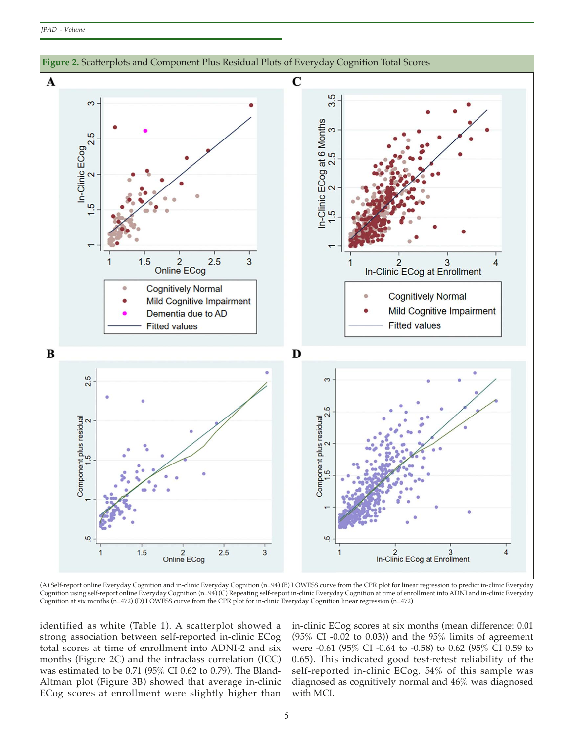

(A) Self-report online Everyday Cognition and in-clinic Everyday Cognition (n=94) (B) LOWESS curve from the CPR plot for linear regression to predict in-clinic Everyday Cognition using self-report online Everyday Cognition (n=94) (C) Repeating self-report in-clinic Everyday Cognition at time of enrollment into ADNI and in-clinic Everyday Cognition at six months (n=472) (D) LOWESS curve from the CPR plot for in-clinic Everyday Cognition linear regression (n=472)

identified as white (Table 1). A scatterplot showed a strong association between self-reported in-clinic ECog total scores at time of enrollment into ADNI-2 and six months (Figure 2C) and the intraclass correlation (ICC) was estimated to be 0.71 (95% CI 0.62 to 0.79). The Bland-Altman plot (Figure 3B) showed that average in-clinic ECog scores at enrollment were slightly higher than

in-clinic ECog scores at six months (mean difference: 0.01 (95% CI -0.02 to 0.03)) and the  $95\%$  limits of agreement were -0.61 (95% CI -0.64 to -0.58) to 0.62 (95% CI 0.59 to 0.65). This indicated good test-retest reliability of the self-reported in-clinic ECog. 54% of this sample was diagnosed as cognitively normal and 46% was diagnosed with MCI.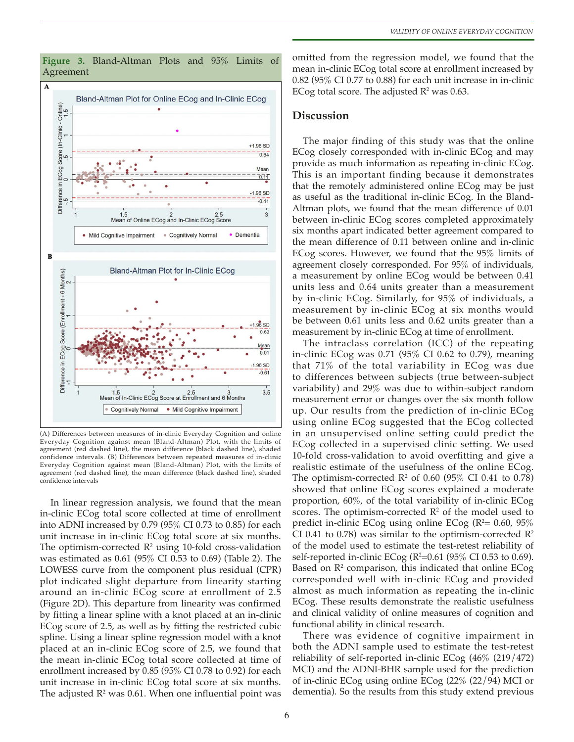

**Figure 3.** Bland-Altman Plots and 95% Limits of Agreement

omitted from the regression model, we found that the mean in-clinic ECog total score at enrollment increased by 0.82 (95% CI 0.77 to 0.88) for each unit increase in in-clinic ECog total score. The adjusted  $\mathbb{R}^2$  was 0.63.

#### **Discussion**

The major finding of this study was that the online ECog closely corresponded with in-clinic ECog and may provide as much information as repeating in-clinic ECog. This is an important finding because it demonstrates that the remotely administered online ECog may be just as useful as the traditional in-clinic ECog. In the Bland-Altman plots, we found that the mean difference of 0.01 between in-clinic ECog scores completed approximately six months apart indicated better agreement compared to the mean difference of 0.11 between online and in-clinic ECog scores. However, we found that the 95% limits of agreement closely corresponded. For 95% of individuals, a measurement by online ECog would be between 0.41 units less and 0.64 units greater than a measurement by in-clinic ECog. Similarly, for 95% of individuals, a measurement by in-clinic ECog at six months would be between 0.61 units less and 0.62 units greater than a measurement by in-clinic ECog at time of enrollment.

The intraclass correlation (ICC) of the repeating in-clinic ECog was 0.71 (95% CI 0.62 to 0.79), meaning that 71% of the total variability in ECog was due to differences between subjects (true between-subject variability) and 29% was due to within-subject random measurement error or changes over the six month follow up. Our results from the prediction of in-clinic ECog using online ECog suggested that the ECog collected in an unsupervised online setting could predict the ECog collected in a supervised clinic setting. We used 10-fold cross-validation to avoid overfitting and give a realistic estimate of the usefulness of the online ECog. The optimism-corrected  $\mathbb{R}^2$  of 0.60 (95% CI 0.41 to 0.78) showed that online ECog scores explained a moderate proportion, 60%, of the total variability of in-clinic ECog scores. The optimism-corrected  $\mathbb{R}^2$  of the model used to predict in-clinic ECog using online ECog ( $R^2$ = 0.60, 95%) CI 0.41 to 0.78) was similar to the optimism-corrected  $\mathbb{R}^2$ of the model used to estimate the test-retest reliability of self-reported in-clinic ECog (R²=0.61 (95% CI 0.53 to 0.69). Based on  $\mathbb{R}^2$  comparison, this indicated that online ECog corresponded well with in-clinic ECog and provided almost as much information as repeating the in-clinic ECog. These results demonstrate the realistic usefulness and clinical validity of online measures of cognition and functional ability in clinical research.

There was evidence of cognitive impairment in both the ADNI sample used to estimate the test-retest reliability of self-reported in-clinic ECog (46% (219/472) MCI) and the ADNI-BHR sample used for the prediction of in-clinic ECog using online ECog (22% (22/94) MCI or dementia). So the results from this study extend previous

(A) Differences between measures of in-clinic Everyday Cognition and online Everyday Cognition against mean (Bland-Altman) Plot, with the limits of agreement (red dashed line), the mean difference (black dashed line), shaded confidence intervals. (B) Differences between repeated measures of in-clinic Everyday Cognition against mean (Bland-Altman) Plot, with the limits of agreement (red dashed line), the mean difference (black dashed line), shaded confidence intervals

In linear regression analysis, we found that the mean in-clinic ECog total score collected at time of enrollment into ADNI increased by 0.79 (95% CI 0.73 to 0.85) for each unit increase in in-clinic ECog total score at six months. The optimism-corrected  $\mathbb{R}^2$  using 10-fold cross-validation was estimated as 0.61 (95% CI 0.53 to 0.69) (Table 2). The LOWESS curve from the component plus residual (CPR) plot indicated slight departure from linearity starting around an in-clinic ECog score at enrollment of 2.5 (Figure 2D). This departure from linearity was confirmed by fitting a linear spline with a knot placed at an in-clinic ECog score of 2.5, as well as by fitting the restricted cubic spline. Using a linear spline regression model with a knot placed at an in-clinic ECog score of 2.5, we found that the mean in-clinic ECog total score collected at time of enrollment increased by 0.85 (95% CI 0.78 to 0.92) for each unit increase in in-clinic ECog total score at six months. The adjusted  $\mathbb{R}^2$  was 0.61. When one influential point was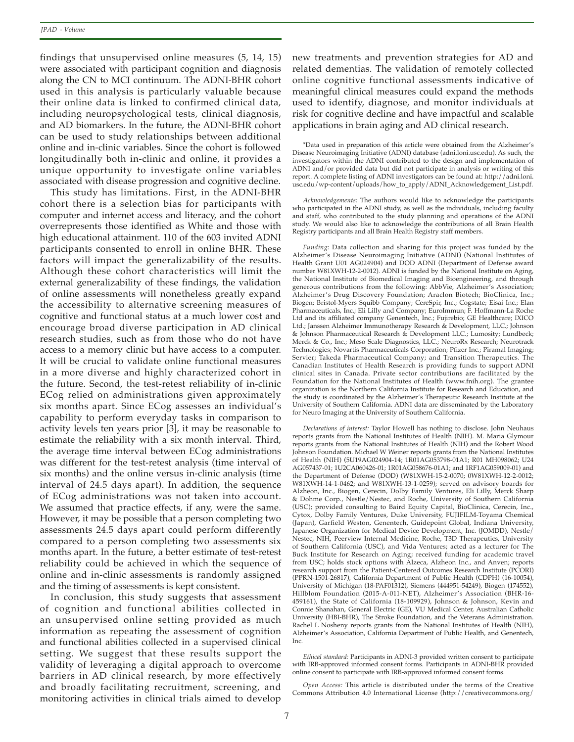findings that unsupervised online measures (5, 14, 15) were associated with participant cognition and diagnosis along the CN to MCI continuum. The ADNI-BHR cohort used in this analysis is particularly valuable because their online data is linked to confirmed clinical data, including neuropsychological tests, clinical diagnosis, and AD biomarkers. In the future, the ADNI-BHR cohort can be used to study relationships between additional online and in-clinic variables. Since the cohort is followed longitudinally both in-clinic and online, it provides a unique opportunity to investigate online variables associated with disease progression and cognitive decline.

This study has limitations. First, in the ADNI-BHR cohort there is a selection bias for participants with computer and internet access and literacy, and the cohort overrepresents those identified as White and those with high educational attainment. 110 of the 603 invited ADNI participants consented to enroll in online BHR. These factors will impact the generalizability of the results. Although these cohort characteristics will limit the external generalizability of these findings, the validation of online assessments will nonetheless greatly expand the accessibility to alternative screening measures of cognitive and functional status at a much lower cost and encourage broad diverse participation in AD clinical research studies, such as from those who do not have access to a memory clinic but have access to a computer. It will be crucial to validate online functional measures in a more diverse and highly characterized cohort in the future. Second, the test-retest reliability of in-clinic ECog relied on administrations given approximately six months apart. Since ECog assesses an individual's capability to perform everyday tasks in comparison to activity levels ten years prior [3], it may be reasonable to estimate the reliability with a six month interval. Third, the average time interval between ECog administrations was different for the test-retest analysis (time interval of six months) and the online versus in-clinic analysis (time interval of 24.5 days apart). In addition, the sequence of ECog administrations was not taken into account. We assumed that practice effects, if any, were the same. However, it may be possible that a person completing two assessments 24.5 days apart could perform differently compared to a person completing two assessments six months apart. In the future, a better estimate of test-retest reliability could be achieved in which the sequence of online and in-clinic assessments is randomly assigned and the timing of assessments is kept consistent.

In conclusion, this study suggests that assessment of cognition and functional abilities collected in an unsupervised online setting provided as much information as repeating the assessment of cognition and functional abilities collected in a supervised clinical setting. We suggest that these results support the validity of leveraging a digital approach to overcome barriers in AD clinical research, by more effectively and broadly facilitating recruitment, screening, and monitoring activities in clinical trials aimed to develop

new treatments and prevention strategies for AD and related dementias. The validation of remotely collected online cognitive functional assessments indicative of meaningful clinical measures could expand the methods used to identify, diagnose, and monitor individuals at risk for cognitive decline and have impactful and scalable applications in brain aging and AD clinical research.

\*Data used in preparation of this article were obtained from the Alzheimer's Disease Neuroimaging Initiative (ADNI) database (adni.loni.usc.edu). As such, the investigators within the ADNI contributed to the design and implementation of ADNI and/or provided data but did not participate in analysis or writing of this report. A complete listing of ADNI investigators can be found at: http://adni.loni. usc.edu/wp-content/uploads/how\_to\_apply/ADNI\_Acknowledgement\_List.pdf.

*Acknowledgements:* The authors would like to acknowledge the participants who participated in the ADNI study, as well as the individuals, including faculty and staff, who contributed to the study planning and operations of the ADNI study. We would also like to acknowledge the contributions of all Brain Health Registry participants and all Brain Health Registry staff members.

*Funding:* Data collection and sharing for this project was funded by the Alzheimer's Disease Neuroimaging Initiative (ADNI) (National Institutes of Health Grant U01 AG024904) and DOD ADNI (Department of Defense award number W81XWH-12-2-0012). ADNI is funded by the National Institute on Aging, the National Institute of Biomedical Imaging and Bioengineering, and through generous contributions from the following: AbbVie, Alzheimer's Association; Alzheimer's Drug Discovery Foundation; Araclon Biotech; BioClinica, Inc.; Biogen; Bristol-Myers Squibb Company; CereSpir, Inc.; Cogstate; Eisai Inc.; Elan Pharmaceuticals, Inc.; Eli Lilly and Company; EuroImmun; F. Hoffmann-La Roche Ltd and its affiliated company Genentech, Inc.; Fujirebio; GE Healthcare; IXICO Ltd.; Janssen Alzheimer Immunotherapy Research & Development, LLC.; Johnson & Johnson Pharmaceutical Research & Development LLC.; Lumosity; Lundbeck; Merck & Co., Inc.; Meso Scale Diagnostics, LLC.; NeuroRx Research; Neurotrack Technologies; Novartis Pharmaceuticals Corporation; Pfizer Inc.; Piramal Imaging; Servier; Takeda Pharmaceutical Company; and Transition Therapeutics. The Canadian Institutes of Health Research is providing funds to support ADNI clinical sites in Canada. Private sector contributions are facilitated by the Foundation for the National Institutes of Health (www.fnih.org). The grantee organization is the Northern California Institute for Research and Education, and the study is coordinated by the Alzheimer's Therapeutic Research Institute at the University of Southern California. ADNI data are disseminated by the Laboratory for Neuro Imaging at the University of Southern California.

*Declarations of interest:* Taylor Howell has nothing to disclose. John Neuhaus reports grants from the National Institutes of Health (NIH). M. Maria Glymour reports grants from the National Institutes of Health (NIH) and the Robert Wood Johnson Foundation. Michael W Weiner reports grants from the National Institutes of Health (NIH) (5U19AG024904-14; 1R01AG053798-01A1; R01 MH098062; U24 AG057437-01; 1U2CA060426-01; 1R01AG058676-01A1; and 1RF1AG059009-01) and the Department of Defense (DOD) (W81XWH-15-2-0070; 0W81XWH-12-2-0012; W81XWH-14-1-0462; and W81XWH-13-1-0259); served on advisory boards for Alzheon, Inc., Biogen, Cerecin, Dolby Family Ventures, Eli Lilly, Merck Sharp & Dohme Corp., Nestle/Nestec, and Roche, University of Southern California (USC); provided consulting to Baird Equity Capital, BioClinica, Cerecin, Inc., Cytox, Dolby Family Ventures, Duke University, FUJIFILM-Toyama Chemical (Japan), Garfield Weston, Genentech, Guidepoint Global, Indiana University, Japanese Organization for Medical Device Development, Inc. (JOMDD), Nestle/ Nestec, NIH, Peerview Internal Medicine, Roche, T3D Therapeutics, University of Southern California (USC), and Vida Ventures; acted as a lecturer for The Buck Institute for Research on Aging; received funding for academic travel from USC; holds stock options with Alzeca, Alzheon Inc., and Anven; reports research support from the Patient-Centered Outcomes Research Institute (PCORI) (PPRN-1501-26817), California Department of Public Health (CDPH) (16-10054), University of Michigan (18-PAF01312), Siemens (444951-54249), Biogen (174552), Hillblom Foundation (2015-A-011-NET), Alzheimer's Association (BHR-16- 459161), the State of California (18-109929), Johnson & Johnson, Kevin and Connie Shanahan, General Electric (GE), VU Medical Center, Australian Catholic University (HBI-BHR), The Stroke Foundation, and the Veterans Administration. Rachel L Nosheny reports grants from the National Institutes of Health (NIH), Alzheimer's Association, California Department of Public Health, and Genentech, Inc.

*Ethical standard:* Participants in ADNI-3 provided written consent to participate with IRB-approved informed consent forms. Participants in ADNI-BHR provided online consent to participate with IRB-approved informed consent forms.

*Open Access:* This article is distributed under the terms of the Creative Commons Attribution 4.0 International License (http://creativecommons.org/